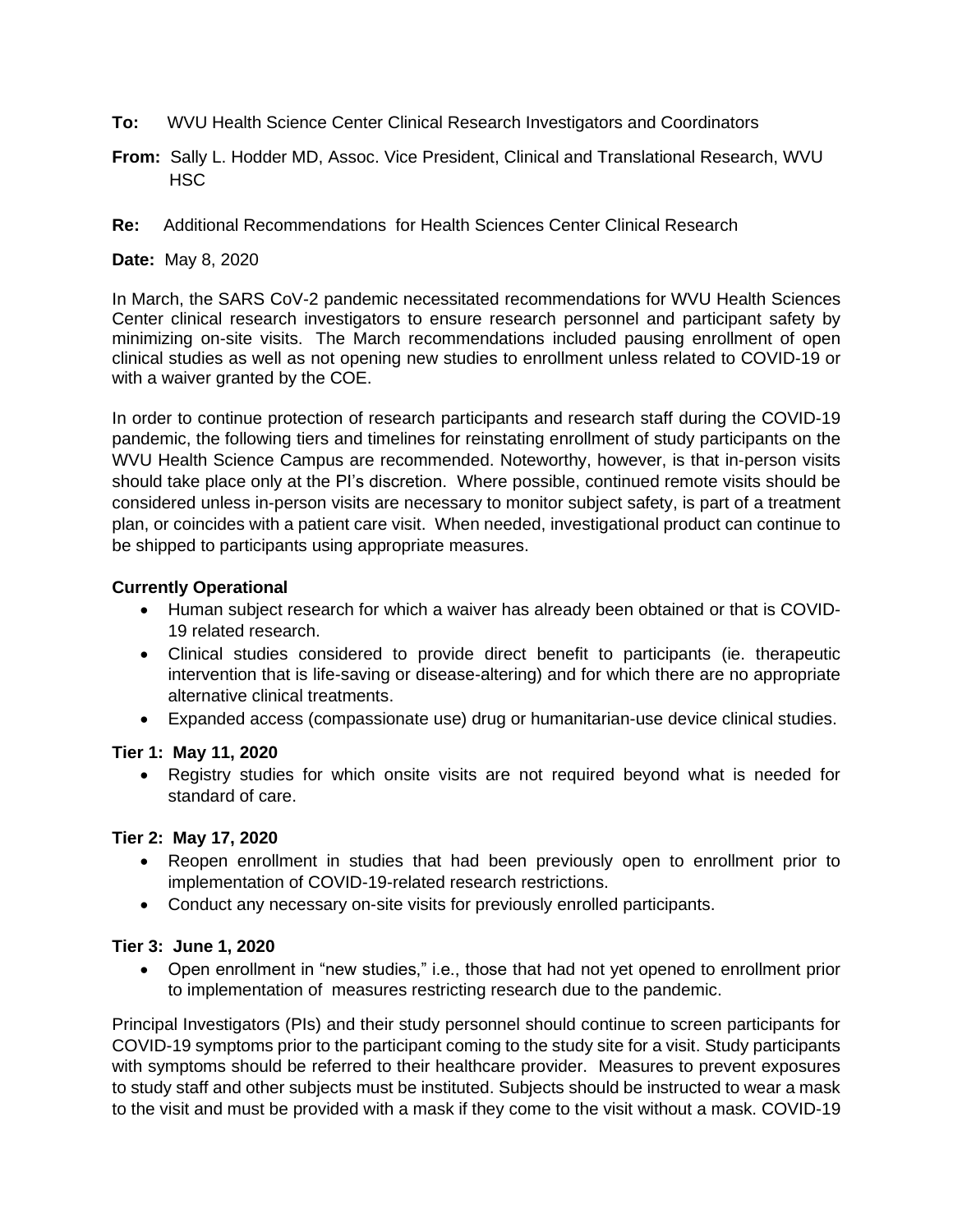- **To:** WVU Health Science Center Clinical Research Investigators and Coordinators
- **From:** Sally L. Hodder MD, Assoc. Vice President, Clinical and Translational Research, WVU **HSC**
- **Re:** Additional Recommendations for Health Sciences Center Clinical Research

**Date:** May 8, 2020

In March, the SARS CoV-2 pandemic necessitated recommendations for WVU Health Sciences Center clinical research investigators to ensure research personnel and participant safety by minimizing on-site visits. The March recommendations included pausing enrollment of open clinical studies as well as not opening new studies to enrollment unless related to COVID-19 or with a waiver granted by the COE.

In order to continue protection of research participants and research staff during the COVID-19 pandemic, the following tiers and timelines for reinstating enrollment of study participants on the WVU Health Science Campus are recommended. Noteworthy, however, is that in-person visits should take place only at the PI's discretion. Where possible, continued remote visits should be considered unless in-person visits are necessary to monitor subject safety, is part of a treatment plan, or coincides with a patient care visit. When needed, investigational product can continue to be shipped to participants using appropriate measures.

## **Currently Operational**

- Human subject research for which a waiver has already been obtained or that is COVID-19 related research.
- Clinical studies considered to provide direct benefit to participants (ie. therapeutic intervention that is life-saving or disease-altering) and for which there are no appropriate alternative clinical treatments.
- Expanded access (compassionate use) drug or humanitarian-use device clinical studies.

## **Tier 1: May 11, 2020**

• Registry studies for which onsite visits are not required beyond what is needed for standard of care.

## **Tier 2: May 17, 2020**

- Reopen enrollment in studies that had been previously open to enrollment prior to implementation of COVID-19-related research restrictions.
- Conduct any necessary on-site visits for previously enrolled participants.

## **Tier 3: June 1, 2020**

• Open enrollment in "new studies," i.e., those that had not yet opened to enrollment prior to implementation of measures restricting research due to the pandemic.

Principal Investigators (PIs) and their study personnel should continue to screen participants for COVID-19 symptoms prior to the participant coming to the study site for a visit. Study participants with symptoms should be referred to their healthcare provider. Measures to prevent exposures to study staff and other subjects must be instituted. Subjects should be instructed to wear a mask to the visit and must be provided with a mask if they come to the visit without a mask. COVID-19